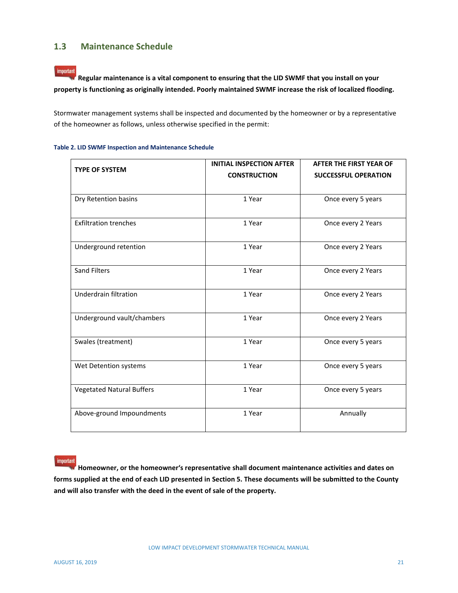## **1.3 Maintenance Schedule**

important **Regular maintenance is a vital component to ensuring that the LID SWMF that you install on your property is functioning as originally intended. Poorly maintained SWMF increase the risk of localized flooding.** 

Stormwater management systems shall be inspected and documented by the homeowner or by a representative of the homeowner as follows, unless otherwise specified in the permit:

| <b>TYPE OF SYSTEM</b>            | <b>INITIAL INSPECTION AFTER</b> | <b>AFTER THE FIRST YEAR OF</b> |
|----------------------------------|---------------------------------|--------------------------------|
|                                  | <b>CONSTRUCTION</b>             | <b>SUCCESSFUL OPERATION</b>    |
|                                  |                                 |                                |
| Dry Retention basins             | 1 Year                          | Once every 5 years             |
| <b>Exfiltration trenches</b>     | 1 Year                          | Once every 2 Years             |
| Underground retention            | 1 Year                          | Once every 2 Years             |
| <b>Sand Filters</b>              | 1 Year                          | Once every 2 Years             |
| Underdrain filtration            | 1 Year                          | Once every 2 Years             |
| Underground vault/chambers       | 1 Year                          | Once every 2 Years             |
| Swales (treatment)               | 1 Year                          | Once every 5 years             |
| Wet Detention systems            | 1 Year                          | Once every 5 years             |
| <b>Vegetated Natural Buffers</b> | 1 Year                          | Once every 5 years             |
| Above-ground Impoundments        | 1 Year                          | Annually                       |

**Table 2. LID SWMF Inspection and Maintenance Schedule**

important **Homeowner, or the homeowner's representative shall document maintenance activities and dates on forms supplied at the end of each LID presented in Section 5. These documents will be submitted to the County and will also transfer with the deed in the event of sale of the property.**